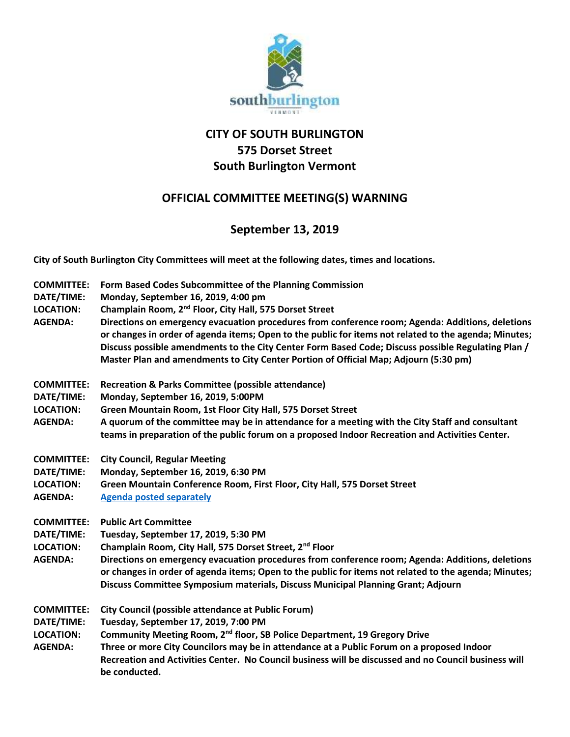

## **CITY OF SOUTH BURLINGTON 575 Dorset Street South Burlington Vermont**

## **OFFICIAL COMMITTEE MEETING(S) WARNING**

## **September 13, 2019**

**City of South Burlington City Committees will meet at the following dates, times and locations.** 

**COMMITTEE: Form Based Codes Subcommittee of the Planning Commission DATE/TIME: Monday, September 16, 2019, 4:00 pm LOCATION: Champlain Room, 2nd Floor, City Hall, 575 Dorset Street AGENDA: Directions on emergency evacuation procedures from conference room; Agenda: Additions, deletions or changes in order of agenda items; Open to the public for items not related to the agenda; Minutes; Discuss possible amendments to the City Center Form Based Code; Discuss possible Regulating Plan / Master Plan and amendments to City Center Portion of Official Map; Adjourn (5:30 pm) COMMITTEE: Recreation & Parks Committee (possible attendance) DATE/TIME: Monday, September 16, 2019, 5:00PM LOCATION: Green Mountain Room, 1st Floor City Hall, 575 Dorset Street AGENDA: A quorum of the committee may be in attendance for a meeting with the City Staff and consultant teams in preparation of the public forum on a proposed Indoor Recreation and Activities Center. COMMITTEE: City Council, Regular Meeting DATE/TIME: Monday, September 16, 2019, 6:30 PM LOCATION: Green Mountain Conference Room, First Floor, City Hall, 575 Dorset Street AGENDA: [Agenda posted separately](http://sbvt-records.info/WebLink/Browse.aspx?id=25962&dbid=0&repo=sburl) COMMITTEE: Public Art Committee DATE/TIME: Tuesday, September 17, 2019, 5:30 PM LOCATION: Champlain Room, City Hall, 575 Dorset Street, 2nd Floor AGENDA: Directions on emergency evacuation procedures from conference room; Agenda: Additions, deletions or changes in order of agenda items; Open to the public for items not related to the agenda; Minutes; Discuss Committee Symposium materials, Discuss Municipal Planning Grant; Adjourn COMMITTEE: City Council (possible attendance at Public Forum) DATE/TIME: Tuesday, September 17, 2019, 7:00 PM LOCATION: Community Meeting Room, 2nd floor, SB Police Department, 19 Gregory Drive AGENDA: Three or more City Councilors may be in attendance at a Public Forum on a proposed Indoor Recreation and Activities Center. No Council business will be discussed and no Council business will be conducted.**